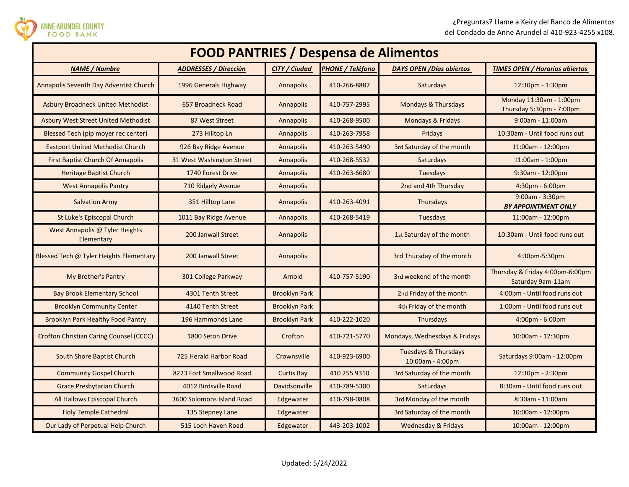

ANNE ARUNDEL COUNTY<br>FOOD BANK

| <b>FOOD PANTRIES / Despensa de Alimentos</b>   |                              |                      |                         |                                                     |                                                      |  |
|------------------------------------------------|------------------------------|----------------------|-------------------------|-----------------------------------------------------|------------------------------------------------------|--|
| <b>NAME</b> / Nombre                           | <b>ADDRESSES / Dirección</b> | <b>CITY / Ciudad</b> | <b>PHONE / Teléfono</b> | <b>DAYS OPEN / Días abiertos</b>                    | <b>TIMES OPEN / Horarios abiertos</b>                |  |
| Annapolis Seventh Day Adventist Church         | 1996 Generals Highway        | Annapolis            | 410-266-8887            | Saturdays                                           | 12:30pm - 1:30pm                                     |  |
| <b>Asbury Broadneck United Methodist</b>       | 657 Broadneck Road           | Annapolis            | 410-757-2995            | Mondays & Thursdays                                 | Monday 11:30am - 1:00pm<br>Thursday 5:30pm - 7:00pm  |  |
| <b>Asbury West Street United Methodist</b>     | 87 West Street               | Annapolis            | 410-268-9500            | Mondays & Fridays                                   | $9:00$ am - 11:00am                                  |  |
| Blessed Tech (pip moyer rec center)            | 273 Hilltop Ln               | Annapolis            | 410-263-7958            | Fridays                                             | 10:30am - Until food runs out                        |  |
| <b>Eastport United Methodist Church</b>        | 926 Bay Ridge Avenue         | Annapolis            | 410-263-5490            | 3rd Saturday of the month                           | $11:00am - 12:00pm$                                  |  |
| <b>First Baptist Church Of Annapolis</b>       | 31 West Washington Street    | Annapolis            | 410-268-5532            | Saturdays                                           | 11:00am - 1:00pm                                     |  |
| <b>Heritage Baptist Church</b>                 | 1740 Forest Drive            | Annapolis            | 410-263-6680            | <b>Tuesdays</b>                                     | $9:30$ am - 12:00pm                                  |  |
| <b>West Annapolis Pantry</b>                   | 710 Ridgely Avenue           | Annapolis            |                         | 2nd and 4th Thursday                                | 4:30pm - 6:00pm                                      |  |
| <b>Salvation Army</b>                          | 351 Hilltop Lane             | Annapolis            | 410-263-4091            | Thursdays                                           | $9:00am - 3:30pm$<br><b>BY APPOINTMENT ONLY</b>      |  |
| St Luke's Episcopal Church                     | 1011 Bay Ridge Avenue        | Annapolis            | 410-268-5419            | <b>Tuesdays</b>                                     | 11:00am - 12:00pm                                    |  |
| West Annapolis @ Tyler Heights<br>Elementary   | 200 Janwall Street           | Annapolis            |                         | 1st Saturday of the month                           | 10:30am - Until food runs out                        |  |
| Blessed Tech @ Tyler Heights Elementary        | 200 Janwall Street           | Annapolis            |                         | 3rd Thursday of the month                           | 4:30pm-5:30pm                                        |  |
| My Brother's Pantry                            | 301 College Parkway          | Arnold               | 410-757-5190            | 3rd weekend of the month                            | Thursday & Friday 4:00pm-6:00pm<br>Saturday 9am-11am |  |
| <b>Bay Brook Elementary School</b>             | 4301 Tenth Street            | <b>Brooklyn Park</b> |                         | 2nd Friday of the month                             | 4:00pm - Until food runs out                         |  |
| <b>Brooklyn Community Center</b>               | 4140 Tenth Street            | <b>Brooklyn Park</b> |                         | 4th Friday of the month                             | 1:00pm - Until food runs out                         |  |
| <b>Brooklyn Park Healthy Food Pantry</b>       | 196 Hammonds Lane            | <b>Brooklyn Park</b> | 410-222-1020            | Thursdays                                           | 4:00pm - 6:00pm                                      |  |
| <b>Crofton Christian Caring Counsel (CCCC)</b> | 1800 Seton Drive             | Crofton              | 410-721-5770            | Mondays, Wednesdays & Fridays                       | 10:00am - 12:30pm                                    |  |
| South Shore Baptist Church                     | 725 Herald Harbor Road       | Crownsville          | 410-923-6900            | <b>Tuesdays &amp; Thursdays</b><br>10:00am - 4:00pm | Saturdays 9:00am - 12:00pm                           |  |
| <b>Community Gospel Church</b>                 | 8223 Fort Smallwood Road     | <b>Curtis Bay</b>    | 410 255 9310            | 3rd Saturday of the month                           | 12:30pm - 2:30pm                                     |  |
| <b>Grace Presbytarian Church</b>               | 4012 Birdsville Road         | Davidsonville        | 410-789-5300            | Saturdays                                           | 8:30am - Until food runs out                         |  |
| All Hallows Episcopal Church                   | 3600 Solomons Island Road    | Edgewater            | 410-798-0808            | 3rd Monday of the month                             | $8:30$ am - 11:00am                                  |  |
| <b>Holy Temple Cathedral</b>                   | 135 Stepney Lane             | Edgewater            |                         | 3rd Saturday of the month                           | 10:00am - 12:00pm                                    |  |
| Our Lady of Perpetual Help Church              | 515 Loch Haven Road          | Edgewater            | 443-203-1002            | <b>Wednesday &amp; Fridays</b>                      | 10:00am - 12:00pm                                    |  |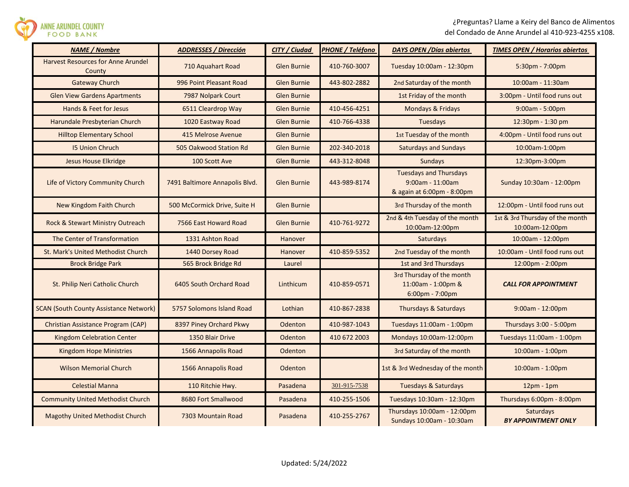

| <b>NAME / Nombre</b>                                | <b>ADDRESSES / Dirección</b>   | CITY / Ciudad      | <b>PHONE / Teléfono</b> | <b>DAYS OPEN / Días abiertos</b>                                                   | <b>TIMES OPEN / Horarios abiertos</b>              |
|-----------------------------------------------------|--------------------------------|--------------------|-------------------------|------------------------------------------------------------------------------------|----------------------------------------------------|
| <b>Harvest Resources for Anne Arundel</b><br>County | 710 Aquahart Road              | Glen Burnie        | 410-760-3007            | Tuesday 10:00am - 12:30pm                                                          | $5:30$ pm - 7:00pm                                 |
| <b>Gateway Church</b>                               | 996 Point Pleasant Road        | Glen Burnie        | 443-802-2882            | 2nd Saturday of the month                                                          | 10:00am - 11:30am                                  |
| <b>Glen View Gardens Apartments</b>                 | 7987 Nolpark Court             | <b>Glen Burnie</b> |                         | 1st Friday of the month                                                            | 3:00pm - Until food runs out                       |
| Hands & Feet for Jesus                              | 6511 Cleardrop Way             | <b>Glen Burnie</b> | 410-456-4251            | Mondays & Fridays                                                                  | $9:00am - 5:00pm$                                  |
| Harundale Presbyterian Church                       | 1020 Eastway Road              | Glen Burnie        | 410-766-4338            | <b>Tuesdays</b>                                                                    | 12:30pm - 1:30 pm                                  |
| <b>Hilltop Elementary School</b>                    | 415 Melrose Avenue             | <b>Glen Burnie</b> |                         | 1st Tuesday of the month                                                           | 4:00pm - Until food runs out                       |
| <b>15 Union Chruch</b>                              | 505 Oakwood Station Rd         | <b>Glen Burnie</b> | 202-340-2018            | <b>Saturdays and Sundays</b>                                                       | 10:00am-1:00pm                                     |
| <b>Jesus House Elkridge</b>                         | 100 Scott Ave                  | <b>Glen Burnie</b> | 443-312-8048            | <b>Sundays</b>                                                                     | 12:30pm-3:00pm                                     |
| Life of Victory Community Church                    | 7491 Baltimore Annapolis Blvd. | <b>Glen Burnie</b> | 443-989-8174            | <b>Tuesdays and Thursdays</b><br>$9:00$ am - 11:00am<br>& again at 6:00pm - 8:00pm | Sunday 10:30am - 12:00pm                           |
| New Kingdom Faith Church                            | 500 McCormick Drive, Suite H   | Glen Burnie        |                         | 3rd Thursday of the month                                                          | 12:00pm - Until food runs out                      |
| Rock & Stewart Ministry Outreach                    | 7566 East Howard Road          | <b>Glen Burnie</b> | 410-761-9272            | 2nd & 4th Tuesday of the month<br>10:00am-12:00pm                                  | 1st & 3rd Thursday of the month<br>10:00am-12:00pm |
| The Center of Transformation                        | 1331 Ashton Road               | Hanover            |                         | Saturdays                                                                          | 10:00am - 12:00pm                                  |
| St. Mark's United Methodist Church                  | 1440 Dorsey Road               | Hanover            | 410-859-5352            | 2nd Tuesday of the month                                                           | 10:00am - Until food runs out                      |
| <b>Brock Bridge Park</b>                            | 565 Brock Bridge Rd            | Laurel             |                         | 1st and 3rd Thursdays                                                              | 12:00pm - 2:00pm                                   |
| St. Philip Neri Catholic Church                     | 6405 South Orchard Road        | Linthicum          | 410-859-0571            | 3rd Thursday of the month<br>11:00am - 1:00pm &<br>6:00pm - 7:00pm                 | <b>CALL FOR APPOINTMENT</b>                        |
| <b>SCAN (South County Assistance Network)</b>       | 5757 Solomons Island Road      | Lothian            | 410-867-2838            | Thursdays & Saturdays                                                              | $9:00am - 12:00pm$                                 |
| Christian Assistance Program (CAP)                  | 8397 Piney Orchard Pkwy        | Odenton            | 410-987-1043            | Tuesdays 11:00am - 1:00pm                                                          | Thursdays 3:00 - 5:00pm                            |
| <b>Kingdom Celebration Center</b>                   | 1350 Blair Drive               | Odenton            | 410 672 2003            | Mondays 10:00am-12:00pm                                                            | Tuesdays 11:00am - 1:00pm                          |
| Kingdom Hope Ministries                             | 1566 Annapolis Road            | Odenton            |                         | 3rd Saturday of the month                                                          | 10:00am - 1:00pm                                   |
| <b>Wilson Memorial Church</b>                       | 1566 Annapolis Road            | <b>Odenton</b>     |                         | 1st & 3rd Wednesday of the month                                                   | 10:00am - 1:00pm                                   |
| <b>Celestial Manna</b>                              | 110 Ritchie Hwy.               | Pasadena           | 301-915-7538            | <b>Tuesdays &amp; Saturdays</b>                                                    | $12pm - 1pm$                                       |
| <b>Community United Methodist Church</b>            | 8680 Fort Smallwood            | Pasadena           | 410-255-1506            | Tuesdays 10:30am - 12:30pm                                                         | Thursdays 6:00pm - 8:00pm                          |
| <b>Magothy United Methodist Church</b>              | 7303 Mountain Road             | Pasadena           | 410-255-2767            | Thursdays 10:00am - 12:00pm<br>Sundays 10:00am - 10:30am                           | <b>Saturdays</b><br><b>BY APPOINTMENT ONLY</b>     |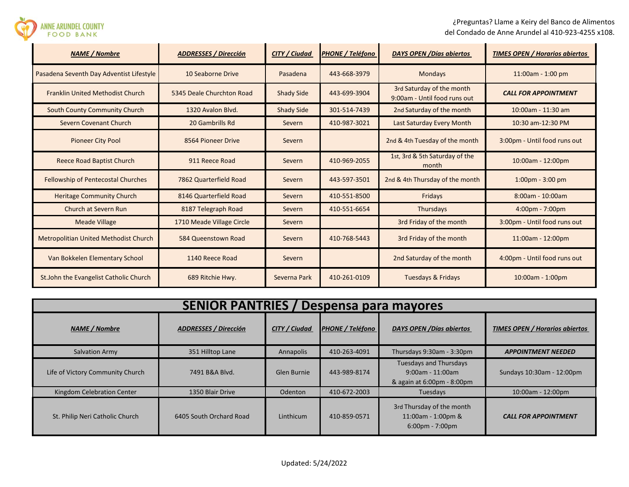¿Preguntas? Llame a Keiry del Banco de Alimentos del Condado de Anne Arundel al 410-923-4255 x108.

| <b>FOOD BANK</b>                             |                              |                      | del condado de Anne Alghuel al 410-523-42. |                                                           |                                       |  |
|----------------------------------------------|------------------------------|----------------------|--------------------------------------------|-----------------------------------------------------------|---------------------------------------|--|
| <b>NAME / Nombre</b>                         | <b>ADDRESSES / Dirección</b> | <b>CITY / Ciudad</b> | PHONE / Teléfono                           | <b>DAYS OPEN / Días abiertos</b>                          | <b>TIMES OPEN / Horarios abiertos</b> |  |
| Pasadena Seventh Day Adventist Lifestyle     | 10 Seaborne Drive            | Pasadena             | 443-668-3979                               | <b>Mondays</b>                                            | 11:00am - 1:00 pm                     |  |
| <b>Franklin United Methodist Church</b>      | 5345 Deale Churchton Road    | <b>Shady Side</b>    | 443-699-3904                               | 3rd Saturday of the month<br>9:00am - Until food runs out | <b>CALL FOR APPOINTMENT</b>           |  |
| <b>South County Community Church</b>         | 1320 Avalon Blvd.            | <b>Shady Side</b>    | 301-514-7439                               | 2nd Saturday of the month                                 | 10:00am - 11:30 am                    |  |
| <b>Severn Covenant Church</b>                | 20 Gambrills Rd              | Severn               | 410-987-3021                               | Last Saturday Every Month                                 | 10:30 am-12:30 PM                     |  |
| <b>Pioneer City Pool</b>                     | 8564 Pioneer Drive           | Severn               |                                            | 2nd & 4th Tuesday of the month                            | 3:00pm - Until food runs out          |  |
| <b>Reece Road Baptist Church</b>             | 911 Reece Road               | Severn               | 410-969-2055                               | 1st, 3rd & 5th Saturday of the<br>month                   | 10:00am - 12:00pm                     |  |
| Fellowship of Pentecostal Churches           | 7862 Quarterfield Road       | Severn               | 443-597-3501                               | 2nd & 4th Thursday of the month                           | $1:00 \text{pm} - 3:00 \text{pm}$     |  |
| <b>Heritage Community Church</b>             | 8146 Quarterfield Road       | Severn               | 410-551-8500                               | Fridays                                                   | 8:00am - 10:00am                      |  |
| Church at Severn Run                         | 8187 Telegraph Road          | Severn               | 410-551-6654                               | Thursdays                                                 | $4:00 \text{pm} - 7:00 \text{pm}$     |  |
| <b>Meade Village</b>                         | 1710 Meade Village Circle    | Severn               |                                            | 3rd Friday of the month                                   | 3:00pm - Until food runs out          |  |
| <b>Metropolitian United Methodist Church</b> | 584 Queenstown Road          | Severn               | 410-768-5443                               | 3rd Friday of the month                                   | 11:00am - 12:00pm                     |  |
| Van Bokkelen Elementary School               | 1140 Reece Road              | Severn               |                                            | 2nd Saturday of the month                                 | 4:00pm - Until food runs out          |  |
| St.John the Evangelist Catholic Church       | 689 Ritchie Hwy.             | Severna Park         | 410-261-0109                               | <b>Tuesdays &amp; Fridays</b>                             | 10:00am - 1:00pm                      |  |

**ANNE ARUNDEL COUNTY** 

| <b>SENIOR PANTRIES /</b><br>Despensa para mayores |                              |               |                         |                                                                                      |                                       |  |
|---------------------------------------------------|------------------------------|---------------|-------------------------|--------------------------------------------------------------------------------------|---------------------------------------|--|
| <b>NAME</b> / Nombre                              | <b>ADDRESSES / Dirección</b> | CITY / Ciudad | <b>PHONE / Teléfono</b> | DAYS OPEN / Días abiertos                                                            | <b>TIMES OPEN / Horarios abiertos</b> |  |
| <b>Salvation Army</b>                             | 351 Hilltop Lane             | Annapolis     | 410-263-4091            | Thursdays 9:30am - 3:30pm                                                            | <b>APPOINTMENT NEEDED</b>             |  |
| Life of Victory Community Church                  | 7491 B&A Blvd.               | Glen Burnie   | 443-989-8174            | <b>Tuesdays and Thursdays</b><br>$9:00$ am - 11:00am<br>& again at 6:00pm - 8:00pm   | Sundays 10:30am - 12:00pm             |  |
| Kingdom Celebration Center                        | 1350 Blair Drive             | Odenton       | 410-672-2003            | Tuesdays                                                                             | 10:00am - 12:00pm                     |  |
| St. Philip Neri Catholic Church                   | 6405 South Orchard Road      | Linthicum     | 410-859-0571            | 3rd Thursday of the month<br>11:00am - 1:00pm &<br>$6:00 \text{pm} - 7:00 \text{pm}$ | <b>CALL FOR APPOINTMENT</b>           |  |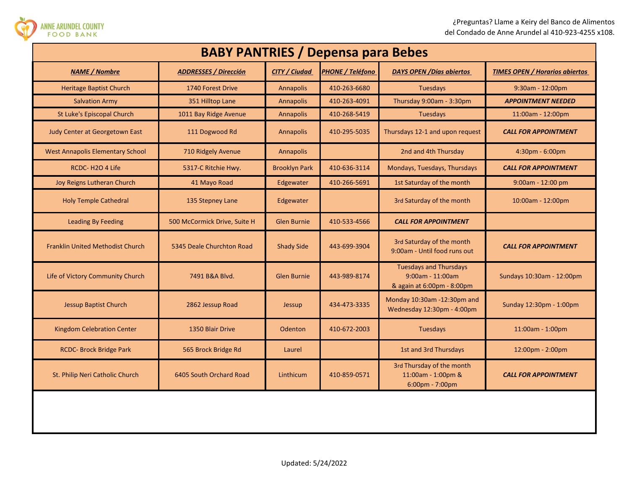

| <b>BABY PANTRIES / Depensa para Bebes</b> |                              |                      |                  |                                                                                    |                                       |  |
|-------------------------------------------|------------------------------|----------------------|------------------|------------------------------------------------------------------------------------|---------------------------------------|--|
| <b>NAME / Nombre</b>                      | <b>ADDRESSES / Dirección</b> | <b>CITY / Ciudad</b> | PHONE / Teléfono | <b>DAYS OPEN / Días abiertos</b>                                                   | <b>TIMES OPEN / Horarios abiertos</b> |  |
| <b>Heritage Baptist Church</b>            | 1740 Forest Drive            | <b>Annapolis</b>     | 410-263-6680     | Tuesdays                                                                           | 9:30am - 12:00pm                      |  |
| <b>Salvation Army</b>                     | 351 Hilltop Lane             | Annapolis            | 410-263-4091     | Thursday 9:00am - 3:30pm                                                           | <b>APPOINTMENT NEEDED</b>             |  |
| St Luke's Episcopal Church                | 1011 Bay Ridge Avenue        | <b>Annapolis</b>     | 410-268-5419     | <b>Tuesdays</b>                                                                    | $11:00am - 12:00pm$                   |  |
| Judy Center at Georgetown East            | 111 Dogwood Rd               | Annapolis            | 410-295-5035     | Thursdays 12-1 and upon request                                                    | <b>CALL FOR APPOINTMENT</b>           |  |
| <b>West Annapolis Elementary School</b>   | 710 Ridgely Avenue           | Annapolis            |                  | 2nd and 4th Thursday                                                               | 4:30pm - 6:00pm                       |  |
| RCDC-H2O4Life                             | 5317-C Ritchie Hwy.          | <b>Brooklyn Park</b> | 410-636-3114     | Mondays, Tuesdays, Thursdays                                                       | <b>CALL FOR APPOINTMENT</b>           |  |
| Joy Reigns Lutheran Church                | 41 Mayo Road                 | Edgewater            | 410-266-5691     | 1st Saturday of the month                                                          | 9:00am - 12:00 pm                     |  |
| <b>Holy Temple Cathedral</b>              | 135 Stepney Lane             | Edgewater            |                  | 3rd Saturday of the month                                                          | 10:00am - 12:00pm                     |  |
| <b>Leading By Feeding</b>                 | 500 McCormick Drive, Suite H | <b>Glen Burnie</b>   | 410-533-4566     | <b>CALL FOR APPOINTMENT</b>                                                        |                                       |  |
| <b>Franklin United Methodist Church</b>   | 5345 Deale Churchton Road    | <b>Shady Side</b>    | 443-699-3904     | 3rd Saturday of the month<br>9:00am - Until food runs out                          | <b>CALL FOR APPOINTMENT</b>           |  |
| Life of Victory Community Church          | 7491 B&A Blvd.               | <b>Glen Burnie</b>   | 443-989-8174     | <b>Tuesdays and Thursdays</b><br>$9:00$ am - 11:00am<br>& again at 6:00pm - 8:00pm | Sundays 10:30am - 12:00pm             |  |
| <b>Jessup Baptist Church</b>              | 2862 Jessup Road             | Jessup               | 434-473-3335     | Monday 10:30am -12:30pm and<br>Wednesday 12:30pm - 4:00pm                          | Sunday 12:30pm - 1:00pm               |  |
| <b>Kingdom Celebration Center</b>         | 1350 Blair Drive             | Odenton              | 410-672-2003     | Tuesdays                                                                           | 11:00am - 1:00pm                      |  |
| <b>RCDC- Brock Bridge Park</b>            | 565 Brock Bridge Rd          | Laurel               |                  | 1st and 3rd Thursdays                                                              | 12:00pm - 2:00pm                      |  |
| St. Philip Neri Catholic Church           | 6405 South Orchard Road      | Linthicum            | 410-859-0571     | 3rd Thursday of the month<br>11:00am - 1:00pm &<br>6:00pm - 7:00pm                 | <b>CALL FOR APPOINTMENT</b>           |  |
|                                           |                              |                      |                  |                                                                                    |                                       |  |